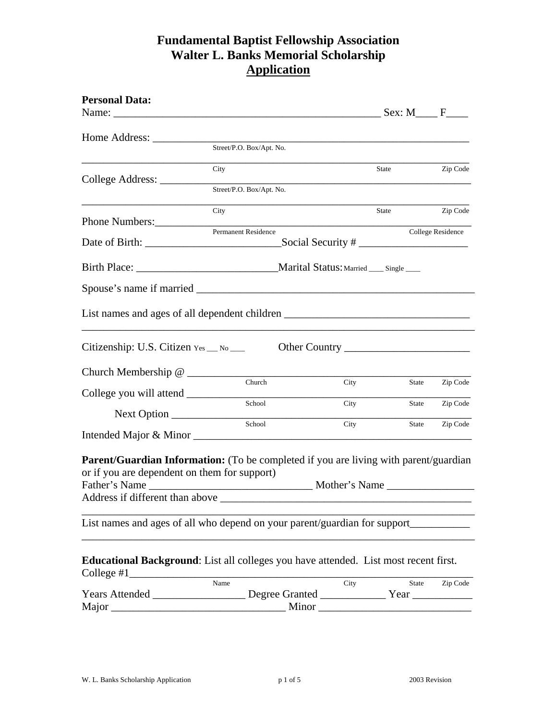# **Fundamental Baptist Fellowship Association Walter L. Banks Memorial Scholarship Application**

| <b>Personal Data:</b>                        |                                                                                                              |                   |              |                          |
|----------------------------------------------|--------------------------------------------------------------------------------------------------------------|-------------------|--------------|--------------------------|
|                                              |                                                                                                              |                   |              |                          |
|                                              | Street/P.O. Box/Apt. No.                                                                                     |                   |              |                          |
|                                              | City                                                                                                         |                   | State        | Zip Code                 |
|                                              | Street/P.O. Box/Apt. No.                                                                                     |                   |              |                          |
| Phone Numbers:                               | City                                                                                                         |                   | State        | Zip Code                 |
|                                              | Permanent Residence                                                                                          |                   |              | <b>College Residence</b> |
|                                              |                                                                                                              | Social Security # |              |                          |
|                                              |                                                                                                              |                   |              |                          |
|                                              |                                                                                                              |                   |              |                          |
|                                              | List names and ages of all dependent children __________________________________                             |                   |              |                          |
| Citizenship: U.S. Citizen Yes __ No __       |                                                                                                              |                   |              |                          |
|                                              |                                                                                                              |                   |              |                          |
|                                              | Church                                                                                                       | City              | State        | Zip Code                 |
|                                              | School                                                                                                       | City              | State        | Zip Code                 |
|                                              | School                                                                                                       | City              | State        | Zip Code                 |
|                                              | Parent/Guardian Information: (To be completed if you are living with parent/guardian                         |                   |              |                          |
| or if you are dependent on them for support) |                                                                                                              |                   |              |                          |
|                                              | Father's Name                                                                                                | Mother's Name     |              |                          |
| Address if different than above              |                                                                                                              |                   |              |                          |
|                                              | List names and ages of all who depend on your parent/guardian for support_______                             |                   |              |                          |
| College #1                                   | Educational Background: List all colleges you have attended. List most recent first.                         |                   |              |                          |
|                                              | Name<br>Years Attended _______________________Degree Granted _________________Year _________________________ | City              | <b>State</b> | Zip Code                 |
| Major                                        |                                                                                                              |                   |              |                          |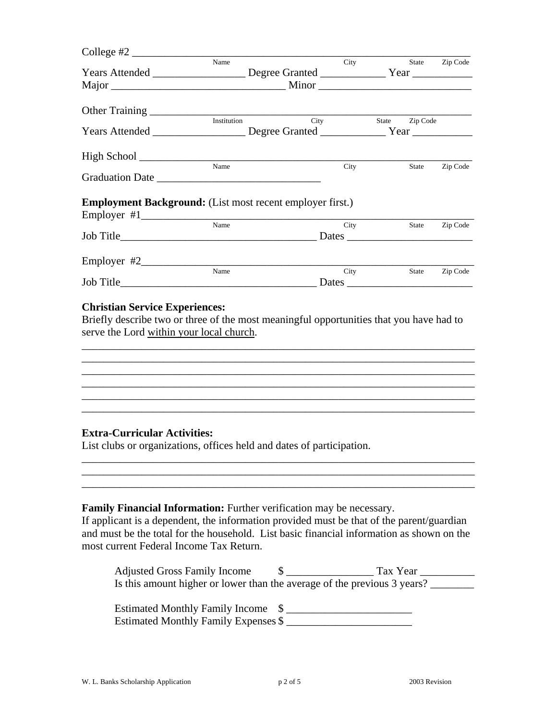| Name        |                                                                           |                                                                                                                      |                      | State Zip Code                                                                                                                                                                                                                                                                                                                              |
|-------------|---------------------------------------------------------------------------|----------------------------------------------------------------------------------------------------------------------|----------------------|---------------------------------------------------------------------------------------------------------------------------------------------------------------------------------------------------------------------------------------------------------------------------------------------------------------------------------------------|
|             |                                                                           |                                                                                                                      |                      |                                                                                                                                                                                                                                                                                                                                             |
|             |                                                                           |                                                                                                                      |                      |                                                                                                                                                                                                                                                                                                                                             |
|             |                                                                           |                                                                                                                      |                      |                                                                                                                                                                                                                                                                                                                                             |
| Institution |                                                                           |                                                                                                                      |                      |                                                                                                                                                                                                                                                                                                                                             |
|             |                                                                           |                                                                                                                      |                      |                                                                                                                                                                                                                                                                                                                                             |
|             |                                                                           |                                                                                                                      |                      |                                                                                                                                                                                                                                                                                                                                             |
| Name        | City                                                                      |                                                                                                                      |                      | Zip Code                                                                                                                                                                                                                                                                                                                                    |
|             |                                                                           |                                                                                                                      |                      |                                                                                                                                                                                                                                                                                                                                             |
| Name        |                                                                           |                                                                                                                      |                      | State Zip Code                                                                                                                                                                                                                                                                                                                              |
|             |                                                                           |                                                                                                                      |                      |                                                                                                                                                                                                                                                                                                                                             |
|             |                                                                           |                                                                                                                      |                      |                                                                                                                                                                                                                                                                                                                                             |
|             |                                                                           |                                                                                                                      |                      | Zip Code                                                                                                                                                                                                                                                                                                                                    |
|             |                                                                           |                                                                                                                      |                      |                                                                                                                                                                                                                                                                                                                                             |
|             |                                                                           |                                                                                                                      |                      |                                                                                                                                                                                                                                                                                                                                             |
|             |                                                                           |                                                                                                                      |                      |                                                                                                                                                                                                                                                                                                                                             |
|             | College #2 $\frac{1}{2}$<br>Name<br><b>Christian Service Experiences:</b> | City<br><b>Employment Background:</b> (List most recent employer first.)<br>serve the Lord within your local church. | City<br>City<br>City | Years Attended ________________________Degree Granted __________________Year _______________________<br>State Zip Code<br>Years Attended ________________________Degree Granted _________________Year ________________________<br>State<br>State<br>Briefly describe two or three of the most meaningful opportunities that you have had to |

#### **Extra-Curricular Activities:**

List clubs or organizations, offices held and dates of participation.

## **Family Financial Information:** Further verification may be necessary.

If applicant is a dependent, the information provided must be that of the parent/guardian and must be the total for the household. List basic financial information as shown on the most current Federal Income Tax Return.

\_\_\_\_\_\_\_\_\_\_\_\_\_\_\_\_\_\_\_\_\_\_\_\_\_\_\_\_\_\_\_\_\_\_\_\_\_\_\_\_\_\_\_\_\_\_\_\_\_\_\_\_\_\_\_\_\_\_\_\_\_\_\_\_\_\_\_\_\_\_\_\_ \_\_\_\_\_\_\_\_\_\_\_\_\_\_\_\_\_\_\_\_\_\_\_\_\_\_\_\_\_\_\_\_\_\_\_\_\_\_\_\_\_\_\_\_\_\_\_\_\_\_\_\_\_\_\_\_\_\_\_\_\_\_\_\_\_\_\_\_\_\_\_\_

\_\_\_\_\_\_\_\_\_\_\_\_\_\_\_\_\_\_\_\_\_\_\_\_\_\_\_\_\_\_\_\_\_\_\_\_\_\_\_\_\_\_\_\_\_\_\_\_\_\_\_\_\_\_\_\_\_\_\_\_\_\_\_\_\_\_\_\_\_\_\_\_

\_\_\_\_\_\_\_\_\_\_\_\_\_\_\_\_\_\_\_\_\_\_\_\_\_\_\_\_\_\_\_\_\_\_\_\_\_\_\_\_\_\_\_\_\_\_\_\_\_\_\_\_\_\_\_\_\_\_\_\_\_\_\_\_\_\_\_\_\_\_\_\_

| <b>Adjusted Gross Family Income</b>                                      | Tax Year |
|--------------------------------------------------------------------------|----------|
| Is this amount higher or lower than the average of the previous 3 years? |          |

Estimated Monthly Family Income  $\quad \quad \text{\AA}}$ Estimated Monthly Family Expenses \$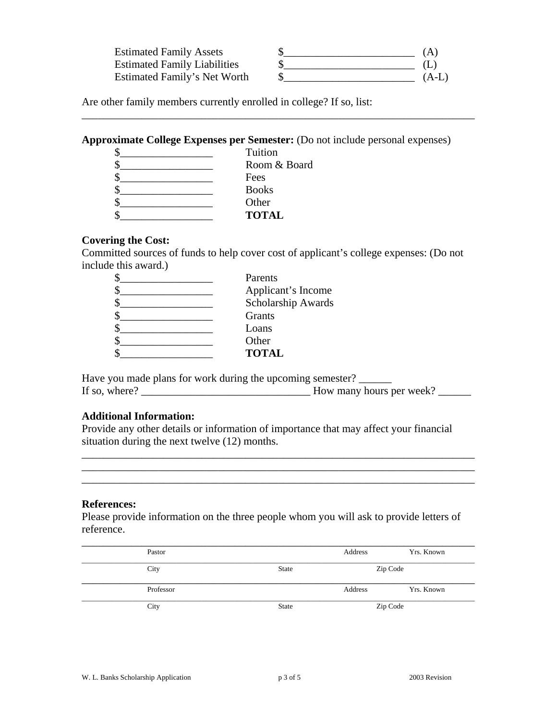| <b>Estimated Family Assets</b>      | ΙA   |
|-------------------------------------|------|
| <b>Estimated Family Liabilities</b> |      |
| Estimated Family's Net Worth        | (A-L |

\_\_\_\_\_\_\_\_\_\_\_\_\_\_\_\_\_\_\_\_\_\_\_\_\_\_\_\_\_\_\_\_\_\_\_\_\_\_\_\_\_\_\_\_\_\_\_\_\_\_\_\_\_\_\_\_\_\_\_\_\_\_\_\_\_\_\_\_\_\_\_\_

Are other family members currently enrolled in college? If so, list:

### **Approximate College Expenses per Semester:** (Do not include personal expenses)

| Tuition      |
|--------------|
| Room & Board |
| Fees         |
| <b>Books</b> |
| Other        |
| <b>TOTAL</b> |

### **Covering the Cost:**

Committed sources of funds to help cover cost of applicant's college expenses: (Do not include this award.)

| Parents            |
|--------------------|
| Applicant's Income |
| Scholarship Awards |
| Grants             |
| Loans              |
| Other              |
| <b>TOTAL</b>       |
|                    |

Have you made plans for work during the upcoming semester? If so, where?  $\frac{1}{\sqrt{1-\frac{1}{2}}}\frac{1}{\sqrt{1-\frac{1}{2}}}\frac{1}{\sqrt{1-\frac{1}{2}}}\frac{1}{\sqrt{1-\frac{1}{2}}}\frac{1}{\sqrt{1-\frac{1}{2}}}\frac{1}{\sqrt{1-\frac{1}{2}}}\frac{1}{\sqrt{1-\frac{1}{2}}}\frac{1}{\sqrt{1-\frac{1}{2}}}\frac{1}{\sqrt{1-\frac{1}{2}}}\frac{1}{\sqrt{1-\frac{1}{2}}}\frac{1}{\sqrt{1-\frac{1}{2}}}\frac{1}{\sqrt{1-\frac{1}{2}}}\frac{1}{\sqrt{1-\frac{1}{$ 

### **Additional Information:**

Provide any other details or information of importance that may affect your financial situation during the next twelve (12) months.

\_\_\_\_\_\_\_\_\_\_\_\_\_\_\_\_\_\_\_\_\_\_\_\_\_\_\_\_\_\_\_\_\_\_\_\_\_\_\_\_\_\_\_\_\_\_\_\_\_\_\_\_\_\_\_\_\_\_\_\_\_\_\_\_\_\_\_\_\_\_\_\_ \_\_\_\_\_\_\_\_\_\_\_\_\_\_\_\_\_\_\_\_\_\_\_\_\_\_\_\_\_\_\_\_\_\_\_\_\_\_\_\_\_\_\_\_\_\_\_\_\_\_\_\_\_\_\_\_\_\_\_\_\_\_\_\_\_\_\_\_\_\_\_\_ \_\_\_\_\_\_\_\_\_\_\_\_\_\_\_\_\_\_\_\_\_\_\_\_\_\_\_\_\_\_\_\_\_\_\_\_\_\_\_\_\_\_\_\_\_\_\_\_\_\_\_\_\_\_\_\_\_\_\_\_\_\_\_\_\_\_\_\_\_\_\_\_

### **References:**

Please provide information on the three people whom you will ask to provide letters of reference.

| Pastor    |              | Address | Yrs. Known |
|-----------|--------------|---------|------------|
| City      | <b>State</b> |         | Zip Code   |
| Professor |              | Address | Yrs. Known |
| City      | <b>State</b> |         | Zip Code   |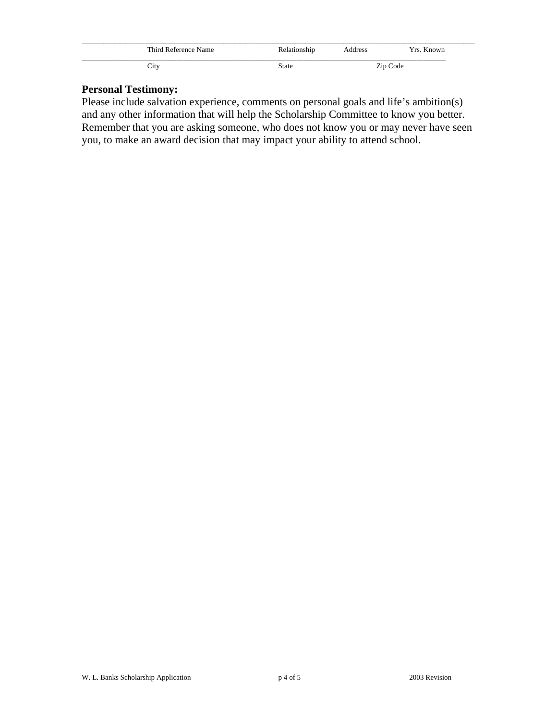| Third Reference Name | Relationship | Address | Yrs. Known |
|----------------------|--------------|---------|------------|
| City                 | <b>State</b> |         | Zip Code   |

# **Personal Testimony:**

Please include salvation experience, comments on personal goals and life's ambition(s) and any other information that will help the Scholarship Committee to know you better. Remember that you are asking someone, who does not know you or may never have seen you, to make an award decision that may impact your ability to attend school.